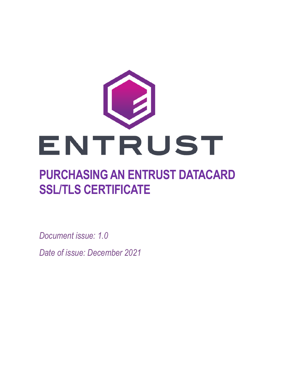

# **PURCHASING AN ENTRUST DATACARD SSL/TLS CERTIFICATE**

*Document issue: 1.0*

*Date of issue: December 2021*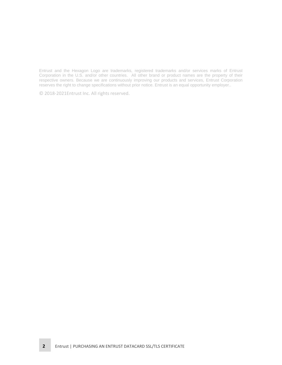Entrust and the Hexagon Logo are trademarks, registered trademarks and/or services marks of Entrust Corporation in the U.S. and/or other countries. All other brand or product names are the property of their respective owners. Because we are continuously improving our products and services, Entrust Corporation reserves the right to change specifications without prior notice. Entrust is an equal opportunity employer..

© 2018-2021Entrust Inc. All rights reserved.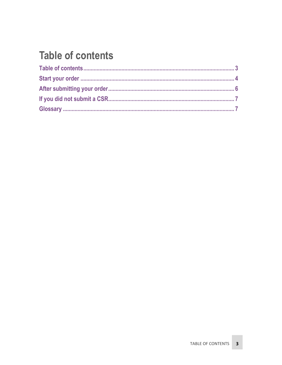## <span id="page-2-0"></span>**Table of contents**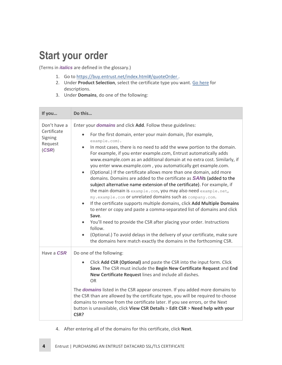#### <span id="page-3-0"></span>**Start your order**

(Terms in *italics* are defined in the glossary.)

- 1. Go to<https://buy.entrust.net/index.html#/quoteOrder> .
- 2. Under **Product Selection**, select the certificate type you want. [Go here](https://www.entrust.com/ssl-certificates/) for descriptions.
- 3. Under **Domains**, do one of the following:

| If you                                                     | Do this                                                                                                                                                                                                                                                                                                                                                                                                                                                                                                                                                                                                                                                                                                              |
|------------------------------------------------------------|----------------------------------------------------------------------------------------------------------------------------------------------------------------------------------------------------------------------------------------------------------------------------------------------------------------------------------------------------------------------------------------------------------------------------------------------------------------------------------------------------------------------------------------------------------------------------------------------------------------------------------------------------------------------------------------------------------------------|
| Don't have a<br>Certificate<br>Signing<br>Request<br>(CSR) | Enter your <b>domains</b> and click Add. Follow these guidelines:<br>For the first domain, enter your main domain, (for example,<br>$\bullet$<br>example.com).<br>In most cases, there is no need to add the www portion to the domain.<br>$\bullet$<br>For example, if you enter example.com, Entrust automatically adds<br>www.example.com as an additional domain at no extra cost. Similarly, if<br>you enter www.example.com, you automatically get example.com.<br>(Optional.) If the certificate allows more than one domain, add more<br>$\bullet$                                                                                                                                                           |
|                                                            | domains. Domains are added to the certificate as <b>SANs</b> (added to the<br>subject alternative name extension of the certificate). For example, if<br>the main domain is example.com, you may also need example.net,<br>my.example.com or unrelated domains such as company.com.<br>If the certificate supports multiple domains, click Add Multiple Domains<br>$\bullet$<br>to enter or copy and paste a comma-separated list of domains and click<br>Save.<br>You'll need to provide the CSR after placing your order. Instructions<br>follow.<br>(Optional.) To avoid delays in the delivery of your certificate, make sure<br>$\bullet$<br>the domains here match exactly the domains in the forthcoming CSR. |
| Have a <b>CSR</b>                                          | Do one of the following:                                                                                                                                                                                                                                                                                                                                                                                                                                                                                                                                                                                                                                                                                             |
|                                                            | Click Add CSR (Optional) and paste the CSR into the input form. Click<br>Save. The CSR must include the Begin New Certificate Request and End<br>New Certificate Request lines and include all dashes.<br>0R                                                                                                                                                                                                                                                                                                                                                                                                                                                                                                         |
|                                                            | The <b>domains</b> listed in the CSR appear onscreen. If you added more domains to<br>the CSR than are allowed by the certificate type, you will be required to choose<br>domains to remove from the certificate later. If you see errors, or the Next<br>button is unavailable, click View CSR Details > Edit CSR > Need help with your<br>CSR?                                                                                                                                                                                                                                                                                                                                                                     |

4. After entering all of the domains for this certificate, click **Next**.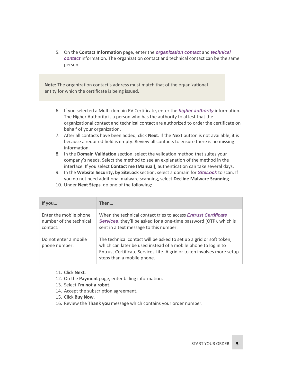5. On the **Contact Information** page, enter the *organization contact* and *technical contact* information. The organization contact and technical contact can be the same person.

**Note:** The organization contact's address must match that of the organizational entity for which the certificate is being issued.

- 6. If you selected a Multi-domain EV Certificate, enter the *higher authority* information. The Higher Authority is a person who has the authority to attest that the organizational contact and technical contact are authorized to order the certificate on behalf of your organization.
- 7. After all contacts have been added, click **Next**. If the **Next** button is not available, it is because a required field is empty. Review all contacts to ensure there is no missing information.
- 8. In the **Domain Validation** section, select the validation method that suites your company's needs. Select the method to see an explanation of the method in the interface. If you select **Contact me (Manual)**, authentication can take several days.
- 9. In the **Website Security, by SiteLock** section, select a domain for *SiteLock* to scan. If you do not need additional malware scanning, select **Decline Malware Scanning**.

| If you                                                        | Then                                                                                                                                                                                                                                          |
|---------------------------------------------------------------|-----------------------------------------------------------------------------------------------------------------------------------------------------------------------------------------------------------------------------------------------|
| Enter the mobile phone<br>number of the technical<br>contact. | When the technical contact tries to access <i>Entrust Certificate</i><br><b>Services</b> , they'll be asked for a one-time password (OTP), which is<br>sent in a text message to this number.                                                 |
| Do not enter a mobile<br>phone number.                        | The technical contact will be asked to set up a grid or soft token,<br>which can later be used instead of a mobile phone to log in to<br>Entrust Certificate Services Lite. A grid or token involves more setup<br>steps than a mobile phone. |

10. Under **Next Steps**, do one of the following:

- 11. Click **Next**.
- 12. On the **Payment** page, enter billing information.
- 13. Select **I'm not a robot**.
- 14. Accept the subscription agreement.
- 15. Click **Buy Now**.
- 16. Review the **Thank you** message which contains your order number.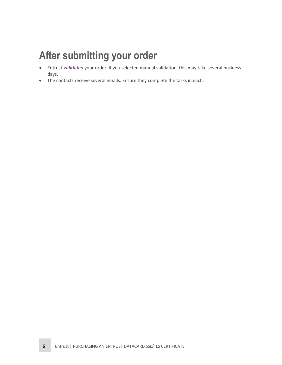#### <span id="page-5-0"></span>**After submitting your order**

- Entrust *validates* your order. If you selected manual validation, this may take several business days.
- The contacts receive several emails. Ensure they complete the tasks in each.